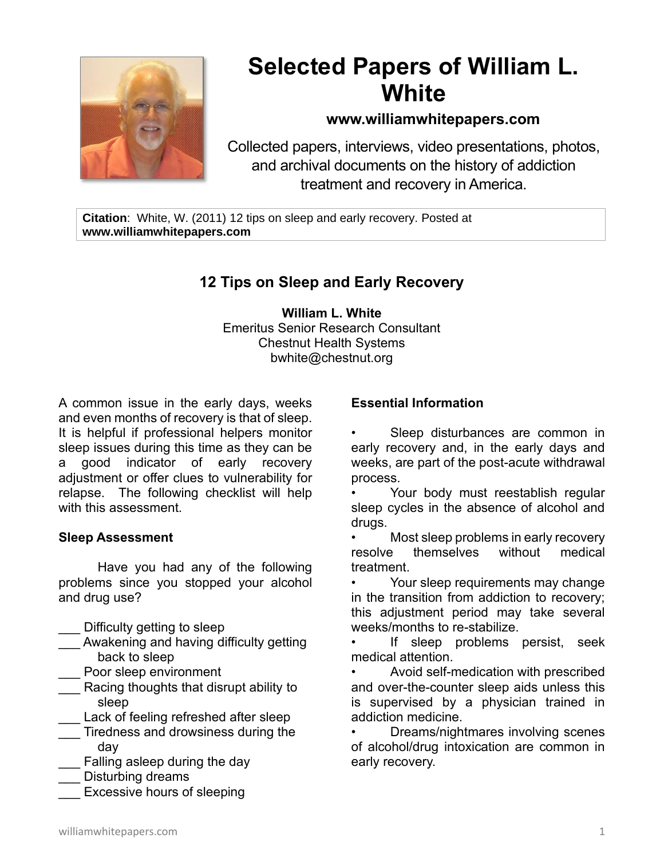

# **Selected Papers of William L. White**

### **www.williamwhitepapers.com**

Collected papers, interviews, video presentations, photos, and archival documents on the history of addiction treatment and recovery in America.

**Citation**: White, W. (2011) 12 tips on sleep and early recovery. Posted at **www.williamwhitepapers.com**

## **12 Tips on Sleep and Early Recovery**

**William L. White** Emeritus Senior Research Consultant Chestnut Health Systems bwhite@chestnut.org

A common issue in the early days, weeks and even months of recovery is that of sleep. It is helpful if professional helpers monitor sleep issues during this time as they can be a good indicator of early recovery adjustment or offer clues to vulnerability for relapse. The following checklist will help with this assessment.

#### **Sleep Assessment**

 Have you had any of the following problems since you stopped your alcohol and drug use?

- Difficulty getting to sleep
- Awakening and having difficulty getting back to sleep
- Poor sleep environment
- Racing thoughts that disrupt ability to sleep
- Lack of feeling refreshed after sleep
- Tiredness and drowsiness during the day
- Falling asleep during the day
- Disturbing dreams
- Excessive hours of sleeping

#### **Essential Information**

Sleep disturbances are common in early recovery and, in the early days and weeks, are part of the post-acute withdrawal process.

Your body must reestablish regular sleep cycles in the absence of alcohol and drugs.

• Most sleep problems in early recovery resolve themselves without medical treatment.

Your sleep requirements may change in the transition from addiction to recovery; this adjustment period may take several weeks/months to re-stabilize.

If sleep problems persist, seek medical attention.

• Avoid self-medication with prescribed and over-the-counter sleep aids unless this is supervised by a physician trained in addiction medicine.

• Dreams/nightmares involving scenes of alcohol/drug intoxication are common in early recovery.